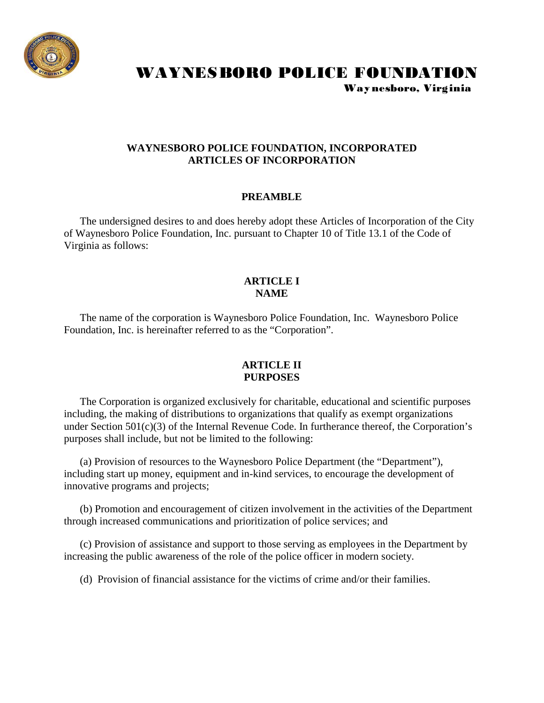

# WAYNESBORO POLICE FOUNDATION

Way nesboro, Virginia

## **WAYNESBORO POLICE FOUNDATION, INCORPORATED ARTICLES OF INCORPORATION**

## **PREAMBLE**

 The undersigned desires to and does hereby adopt these Articles of Incorporation of the City of Waynesboro Police Foundation, Inc. pursuant to Chapter 10 of Title 13.1 of the Code of Virginia as follows:

## **ARTICLE I NAME**

 The name of the corporation is Waynesboro Police Foundation, Inc. Waynesboro Police Foundation, Inc. is hereinafter referred to as the "Corporation".

#### **ARTICLE II PURPOSES**

 The Corporation is organized exclusively for charitable, educational and scientific purposes including, the making of distributions to organizations that qualify as exempt organizations under Section 501(c)(3) of the Internal Revenue Code. In furtherance thereof, the Corporation's purposes shall include, but not be limited to the following:

 (a) Provision of resources to the Waynesboro Police Department (the "Department"), including start up money, equipment and in-kind services, to encourage the development of innovative programs and projects;

 (b) Promotion and encouragement of citizen involvement in the activities of the Department through increased communications and prioritization of police services; and

 (c) Provision of assistance and support to those serving as employees in the Department by increasing the public awareness of the role of the police officer in modern society.

(d) Provision of financial assistance for the victims of crime and/or their families.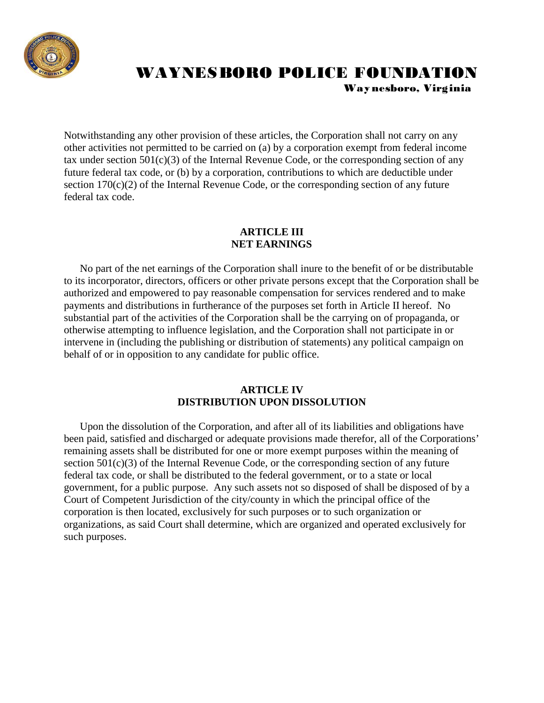

# WAYNESBORO POLICE FOUNDATION Way nesboro, Virginia

Notwithstanding any other provision of these articles, the Corporation shall not carry on any other activities not permitted to be carried on (a) by a corporation exempt from federal income tax under section  $501(c)(3)$  of the Internal Revenue Code, or the corresponding section of any future federal tax code, or (b) by a corporation, contributions to which are deductible under section  $170(c)(2)$  of the Internal Revenue Code, or the corresponding section of any future federal tax code.

# **ARTICLE III NET EARNINGS**

 No part of the net earnings of the Corporation shall inure to the benefit of or be distributable to its incorporator, directors, officers or other private persons except that the Corporation shall be authorized and empowered to pay reasonable compensation for services rendered and to make payments and distributions in furtherance of the purposes set forth in Article II hereof. No substantial part of the activities of the Corporation shall be the carrying on of propaganda, or otherwise attempting to influence legislation, and the Corporation shall not participate in or intervene in (including the publishing or distribution of statements) any political campaign on behalf of or in opposition to any candidate for public office.

## **ARTICLE IV DISTRIBUTION UPON DISSOLUTION**

 Upon the dissolution of the Corporation, and after all of its liabilities and obligations have been paid, satisfied and discharged or adequate provisions made therefor, all of the Corporations' remaining assets shall be distributed for one or more exempt purposes within the meaning of section 501(c)(3) of the Internal Revenue Code, or the corresponding section of any future federal tax code, or shall be distributed to the federal government, or to a state or local government, for a public purpose. Any such assets not so disposed of shall be disposed of by a Court of Competent Jurisdiction of the city/county in which the principal office of the corporation is then located, exclusively for such purposes or to such organization or organizations, as said Court shall determine, which are organized and operated exclusively for such purposes.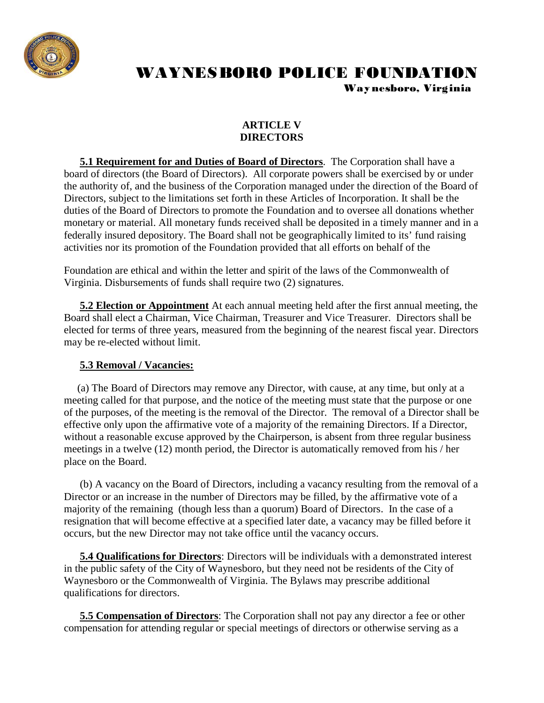

# WAYNESBORO POLICE FOUNDATION

Way nesboro, Virginia

# **ARTICLE V DIRECTORS**

 **5.1 Requirement for and Duties of Board of Directors**. The Corporation shall have a board of directors (the Board of Directors). All corporate powers shall be exercised by or under the authority of, and the business of the Corporation managed under the direction of the Board of Directors, subject to the limitations set forth in these Articles of Incorporation. It shall be the duties of the Board of Directors to promote the Foundation and to oversee all donations whether monetary or material. All monetary funds received shall be deposited in a timely manner and in a federally insured depository. The Board shall not be geographically limited to its' fund raising activities nor its promotion of the Foundation provided that all efforts on behalf of the

Foundation are ethical and within the letter and spirit of the laws of the Commonwealth of Virginia. Disbursements of funds shall require two (2) signatures.

 **5.2 Election or Appointment** At each annual meeting held after the first annual meeting, the Board shall elect a Chairman, Vice Chairman, Treasurer and Vice Treasurer. Directors shall be elected for terms of three years, measured from the beginning of the nearest fiscal year. Directors may be re-elected without limit.

# **5.3 Removal / Vacancies:**

 (a) The Board of Directors may remove any Director, with cause, at any time, but only at a meeting called for that purpose, and the notice of the meeting must state that the purpose or one of the purposes, of the meeting is the removal of the Director. The removal of a Director shall be effective only upon the affirmative vote of a majority of the remaining Directors. If a Director, without a reasonable excuse approved by the Chairperson, is absent from three regular business meetings in a twelve (12) month period, the Director is automatically removed from his / her place on the Board.

 (b) A vacancy on the Board of Directors, including a vacancy resulting from the removal of a Director or an increase in the number of Directors may be filled, by the affirmative vote of a majority of the remaining (though less than a quorum) Board of Directors. In the case of a resignation that will become effective at a specified later date, a vacancy may be filled before it occurs, but the new Director may not take office until the vacancy occurs.

 **5.4 Qualifications for Directors**: Directors will be individuals with a demonstrated interest in the public safety of the City of Waynesboro, but they need not be residents of the City of Waynesboro or the Commonwealth of Virginia. The Bylaws may prescribe additional qualifications for directors.

 **5.5 Compensation of Directors**: The Corporation shall not pay any director a fee or other compensation for attending regular or special meetings of directors or otherwise serving as a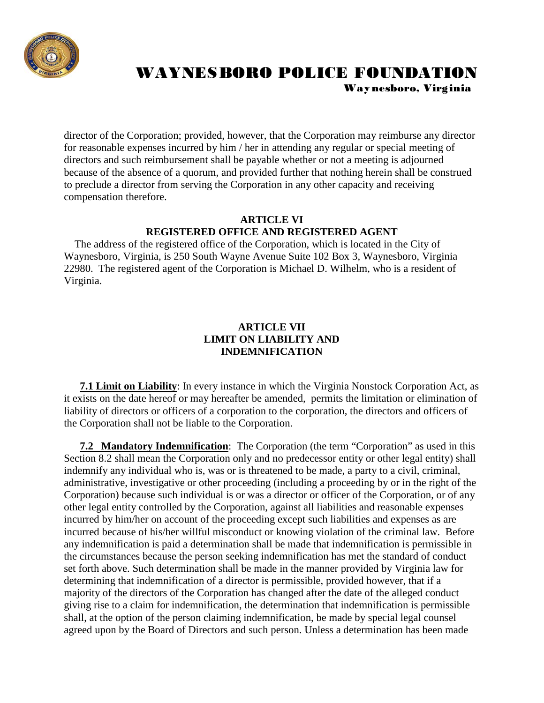

# WAYNESBORO POLICE FOUNDATION Way nesboro, Virginia

director of the Corporation; provided, however, that the Corporation may reimburse any director for reasonable expenses incurred by him / her in attending any regular or special meeting of directors and such reimbursement shall be payable whether or not a meeting is adjourned because of the absence of a quorum, and provided further that nothing herein shall be construed to preclude a director from serving the Corporation in any other capacity and receiving compensation therefore.

# **ARTICLE VI REGISTERED OFFICE AND REGISTERED AGENT**

 The address of the registered office of the Corporation, which is located in the City of Waynesboro, Virginia, is 250 South Wayne Avenue Suite 102 Box 3, Waynesboro, Virginia 22980. The registered agent of the Corporation is Michael D. Wilhelm, who is a resident of Virginia.

# **ARTICLE VII LIMIT ON LIABILITY AND INDEMNIFICATION**

 **7.1 Limit on Liability**: In every instance in which the Virginia Nonstock Corporation Act, as it exists on the date hereof or may hereafter be amended, permits the limitation or elimination of liability of directors or officers of a corporation to the corporation, the directors and officers of the Corporation shall not be liable to the Corporation.

 **7.2 Mandatory Indemnification**: The Corporation (the term "Corporation" as used in this Section 8.2 shall mean the Corporation only and no predecessor entity or other legal entity) shall indemnify any individual who is, was or is threatened to be made, a party to a civil, criminal, administrative, investigative or other proceeding (including a proceeding by or in the right of the Corporation) because such individual is or was a director or officer of the Corporation, or of any other legal entity controlled by the Corporation, against all liabilities and reasonable expenses incurred by him/her on account of the proceeding except such liabilities and expenses as are incurred because of his/her willful misconduct or knowing violation of the criminal law. Before any indemnification is paid a determination shall be made that indemnification is permissible in the circumstances because the person seeking indemnification has met the standard of conduct set forth above. Such determination shall be made in the manner provided by Virginia law for determining that indemnification of a director is permissible, provided however, that if a majority of the directors of the Corporation has changed after the date of the alleged conduct giving rise to a claim for indemnification, the determination that indemnification is permissible shall, at the option of the person claiming indemnification, be made by special legal counsel agreed upon by the Board of Directors and such person. Unless a determination has been made